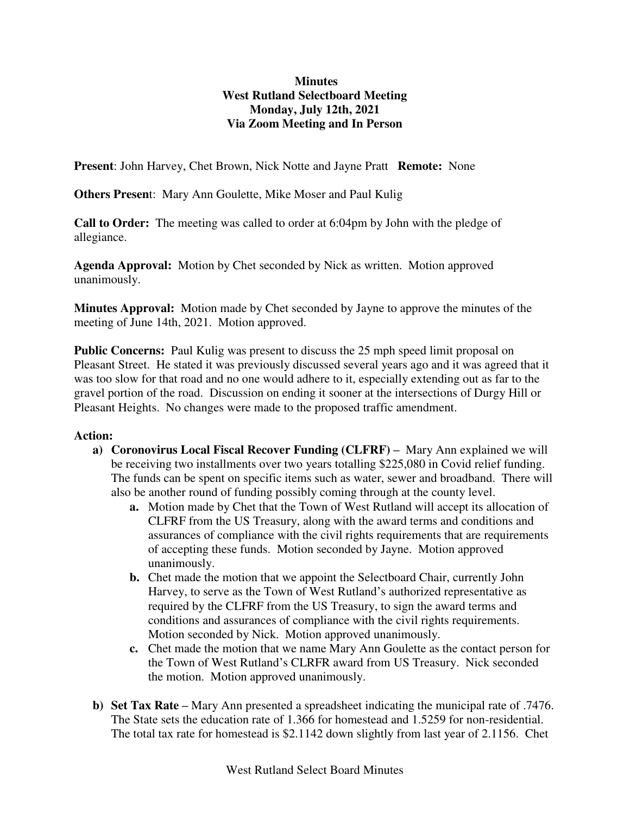## **Minutes West Rutland Selectboard Meeting Monday, July 12th, 2021 Via Zoom Meeting and In Person**

**Present**: John Harvey, Chet Brown, Nick Notte and Jayne Pratt **Remote:** None

**Others Presen**t: Mary Ann Goulette, Mike Moser and Paul Kulig

**Call to Order:** The meeting was called to order at 6:04pm by John with the pledge of allegiance.

**Agenda Approval:** Motion by Chet seconded by Nick as written. Motion approved unanimously.

**Minutes Approval:** Motion made by Chet seconded by Jayne to approve the minutes of the meeting of June 14th, 2021. Motion approved.

**Public Concerns:** Paul Kulig was present to discuss the 25 mph speed limit proposal on Pleasant Street. He stated it was previously discussed several years ago and it was agreed that it was too slow for that road and no one would adhere to it, especially extending out as far to the gravel portion of the road. Discussion on ending it sooner at the intersections of Durgy Hill or Pleasant Heights. No changes were made to the proposed traffic amendment.

## **Action:**

- **a) Coronovirus Local Fiscal Recover Funding (CLFRF) –** Mary Ann explained we will be receiving two installments over two years totalling \$225,080 in Covid relief funding. The funds can be spent on specific items such as water, sewer and broadband. There will also be another round of funding possibly coming through at the county level.
	- **a.** Motion made by Chet that the Town of West Rutland will accept its allocation of CLFRF from the US Treasury, along with the award terms and conditions and assurances of compliance with the civil rights requirements that are requirements of accepting these funds. Motion seconded by Jayne. Motion approved unanimously.
	- **b.** Chet made the motion that we appoint the Selectboard Chair, currently John Harvey, to serve as the Town of West Rutland's authorized representative as required by the CLFRF from the US Treasury, to sign the award terms and conditions and assurances of compliance with the civil rights requirements. Motion seconded by Nick. Motion approved unanimously.
	- **c.** Chet made the motion that we name Mary Ann Goulette as the contact person for the Town of West Rutland's CLRFR award from US Treasury. Nick seconded the motion. Motion approved unanimously.
- **b) Set Tax Rate –** Mary Ann presented a spreadsheet indicating the municipal rate of .7476. The State sets the education rate of 1.366 for homestead and 1.5259 for non-residential. The total tax rate for homestead is \$2.1142 down slightly from last year of 2.1156. Chet